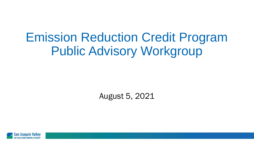# Emission Reduction Credit Program Public Advisory Workgroup

August 5, 2021

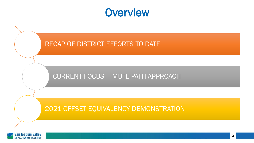#### **Overview**



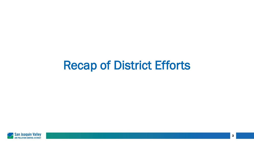### Recap of District Efforts

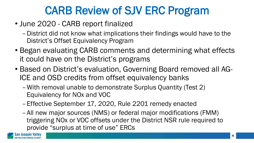#### CARB Review of SJV ERC Program

- June 2020 CARB report finalized
	- –District did not know what implications their findings would have to the District's Offset Equivalency Program
- Began evaluating CARB comments and determining what effects it could have on the District's programs
- Based on District's evaluation, Governing Board removed all AG-ICE and OSD credits from offset equivalency banks
	- –With removal unable to demonstrate Surplus Quantity (Test 2) Equivalency for NOx and VOC
	- –Effective September 17, 2020, Rule 2201 remedy enacted
	- –All new major sources (NMS) or federal major modifications (FMM) triggering NOx or VOC offsets under the District NSR rule required to provide "surplus at time of use" ERCs

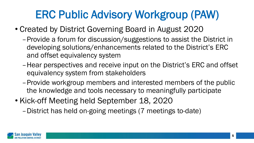### ERC Public Advisory Workgroup (PAW)

- Created by District Governing Board in August 2020
	- –Provide a forum for discussion/suggestions to assist the District in developing solutions/enhancements related to the District's ERC and offset equivalency system
	- –Hear perspectives and receive input on the District's ERC and offset equivalency system from stakeholders
	- –Provide workgroup members and interested members of the public the knowledge and tools necessary to meaningfully participate
- Kick-off Meeting held September 18, 2020
	- –District has held on-going meetings (7 meetings to-date)

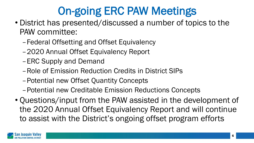# On-going ERC PAW Meetings

- District has presented/discussed a number of topics to the PAW committee:
	- –Federal Offsetting and Offset Equivalency
	- –2020 Annual Offset Equivalency Report
	- –ERC Supply and Demand
	- –Role of Emission Reduction Credits in District SIPs
	- –Potential new Offset Quantity Concepts
	- –Potential new Creditable Emission Reductions Concepts
- Questions/input from the PAW assisted in the development of the 2020 Annual Offset Equivalency Report and will continue to assist with the District's ongoing offset program efforts

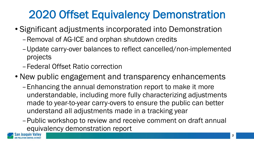# 2020 Offset Equivalency Demonstration

- Significant adjustments incorporated into Demonstration
	- –Removal of AG-ICE and orphan shutdown credits
	- –Update carry-over balances to reflect cancelled/non-implemented projects
	- –Federal Offset Ratio correction
- New public engagement and transparency enhancements
	- –Enhancing the annual demonstration report to make it more understandable, including more fully characterizing adjustments made to year-to-year carry-overs to ensure the public can better understand all adjustments made in a tracking year
	- –Public workshop to review and receive comment on draft annual equivalency demonstration report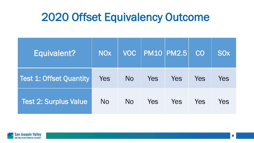#### 2020 Offset Equivalency Outcome

| Equivalent?                    | <b>NOx</b> | <b>VOC</b>     |     | <b>PM10 PM2.5</b> | CO  | <b>SO<sub>x</sub></b> |
|--------------------------------|------------|----------------|-----|-------------------|-----|-----------------------|
| <b>Test 1: Offset Quantity</b> | Yes        | N <sub>O</sub> | Yes | Yes               | Yes | Yes                   |
| <b>Test 2: Surplus Value</b>   | <b>No</b>  | No.            | Yes | Yes               | Yes | Yes                   |

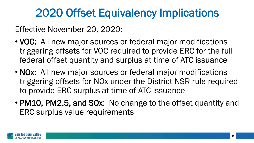### 2020 Offset Equivalency Implications

Effective November 20, 2020:

- VOC: All new major sources or federal major modifications triggering offsets for VOC required to provide ERC for the full federal offset quantity and surplus at time of ATC issuance
- NOx: All new major sources or federal major modifications triggering offsets for NOx under the District NSR rule required to provide ERC surplus at time of ATC issuance
- PM10, PM2.5, and SOx: No change to the offset quantity and ERC surplus value requirements

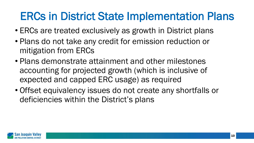### ERCs in District State Implementation Plans

- ERCs are treated exclusively as growth in District plans
- Plans do not take any credit for emission reduction or mitigation from ERCs
- Plans demonstrate attainment and other milestones accounting for projected growth (which is inclusive of expected and capped ERC usage) as required
- Offset equivalency issues do not create any shortfalls or deficiencies within the District's plans

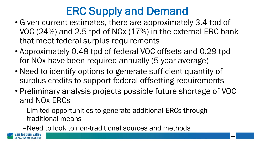# ERC Supply and Demand

- Given current estimates, there are approximately 3.4 tpd of VOC (24%) and 2.5 tpd of NOx (17%) in the external ERC bank that meet federal surplus requirements
- Approximately 0.48 tpd of federal VOC offsets and 0.29 tpd for NOx have been required annually (5 year average)
- Need to identify options to generate sufficient quantity of surplus credits to support federal offsetting requirements
- Preliminary analysis projects possible future shortage of VOC and NOx ERCs
	- –Limited opportunities to generate additional ERCs through traditional means
	- –Need to look to non-traditional sources and methods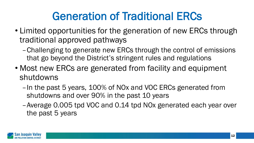### Generation of Traditional ERCs

- Limited opportunities for the generation of new ERCs through traditional approved pathways
	- –Challenging to generate new ERCs through the control of emissions that go beyond the District's stringent rules and regulations
- Most new ERCs are generated from facility and equipment shutdowns
	- –In the past 5 years, 100% of NOx and VOC ERCs generated from shutdowns and over 90% in the past 10 years
	- –Average 0.005 tpd VOC and 0.14 tpd NOx generated each year over the past 5 years

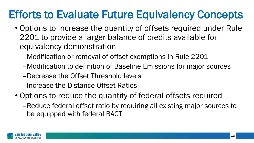### Efforts to Evaluate Future Equivalency Concepts

- Options to increase the quantity of offsets required under Rule 2201 to provide a larger balance of credits available for equivalency demonstration
	- –Modification or removal of offset exemptions in Rule 2201
	- –Modification to definition of Baseline Emissions for major sources
	- –Decrease the Offset Threshold levels
	- –Increase the Distance Offset Ratios
- Options to reduce the quantity of federal offsets required
	- –Reduce federal offset ratio by requiring all existing major sources to be equipped with federal BACT

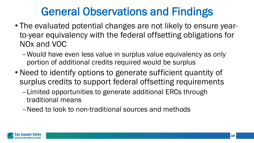### General Observations and Findings

- The evaluated potential changes are not likely to ensure yearto-year equivalency with the federal offsetting obligations for NOx and VOC
	- –Would have even less value in surplus value equivalency as only portion of additional credits required would be surplus
- Need to identify options to generate sufficient quantity of surplus credits to support federal offsetting requirements
	- –Limited opportunities to generate additional ERCs through traditional means
	- –Need to look to non-traditional sources and methods

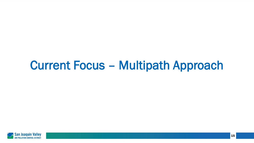### Current Focus – Multipath Approach

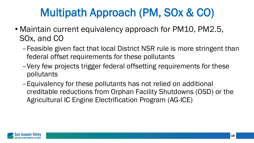### Multipath Approach (PM, SOx & CO)

- Maintain current equivalency approach for PM10, PM2.5, SOx, and CO
	- –Feasible given fact that local District NSR rule is more stringent than federal offset requirements for these pollutants
	- –Very few projects trigger federal offsetting requirements for these pollutants
	- –Equivalency for these pollutants has not relied on additional creditable reductions from Orphan Facility Shutdowns (OSD) or the Agricultural IC Engine Electrification Program (AG-ICE)

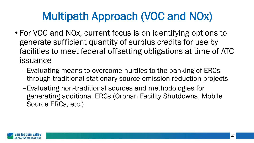### Multipath Approach (VOC and NOx)

- For VOC and NOx, current focus is on identifying options to generate sufficient quantity of surplus credits for use by facilities to meet federal offsetting obligations at time of ATC issuance
	- –Evaluating means to overcome hurdles to the banking of ERCs through traditional stationary source emission reduction projects
	- –Evaluating non-traditional sources and methodologies for generating additional ERCs (Orphan Facility Shutdowns, Mobile Source ERCs, etc.)

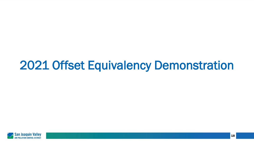### 2021 Offset Equivalency Demonstration

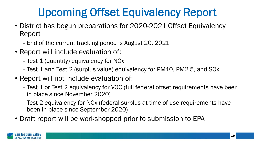# Upcoming Offset Equivalency Report

- District has begun preparations for 2020-2021 Offset Equivalency Report
	- End of the current tracking period is August 20, 2021
- Report will include evaluation of:
	- Test 1 (quantity) equivalency for NOx
	- Test 1 and Test 2 (surplus value) equivalency for PM10, PM2.5, and SOx
- Report will not include evaluation of:
	- Test 1 or Test 2 equivalency for VOC (full federal offset requirements have been in place since November 2020)
	- Test 2 equivalency for NOx (federal surplus at time of use requirements have been in place since September 2020)
- Draft report will be workshopped prior to submission to EPA

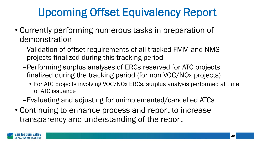# Upcoming Offset Equivalency Report

- Currently performing numerous tasks in preparation of demonstration
	- –Validation of offset requirements of all tracked FMM and NMS projects finalized during this tracking period
	- –Performing surplus analyses of ERCs reserved for ATC projects finalized during the tracking period (for non VOC/NOx projects)
		- For ATC projects involving VOC/NOx ERCs, surplus analysis performed at time of ATC issuance
	- –Evaluating and adjusting for unimplemented/cancelled ATCs
- Continuing to enhance process and report to increase transparency and understanding of the report

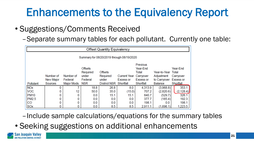### Enhancements to the Equivalency Report

- Suggestions/Comments Received
	- –Separate summary tables for each pollutant. Currently one table:

| <b>Offset Quantity Equivalency</b>        |                        |                      |                                                |                                     |                                            |                                                   |                                                  |                                           |  |  |  |  |
|-------------------------------------------|------------------------|----------------------|------------------------------------------------|-------------------------------------|--------------------------------------------|---------------------------------------------------|--------------------------------------------------|-------------------------------------------|--|--|--|--|
| Summary for 08/20/2019 through 08/19/2020 |                        |                      |                                                |                                     |                                            |                                                   |                                                  |                                           |  |  |  |  |
|                                           | Number of<br>New Major | Number of<br>Federal | <b>Offsets</b><br>Required<br>under<br>Federal | <b>Offsets</b><br>Required<br>under | Current Year Carryover<br><b>Excess or</b> | Previous<br>Year-End<br>Total<br><b>Excess or</b> | Year-to-Year Total<br>Adjustment<br>to Carryover | Year-End<br>Carryover<br><b>Excess or</b> |  |  |  |  |
| Pollutant                                 | Sources                | <b>Major Mods</b>    | <b>NSR</b>                                     | <b>District NSR</b>                 | Shortfall                                  | Shortfall                                         | <b>Balance</b>                                   | Shortfall                                 |  |  |  |  |
| <b>NOx</b><br><b>VOC</b>                  | 0<br>0                 | 12                   | 18.8<br>50.0                                   | 26.8<br>35.0                        | 0.8<br>(15.0)                              | 4.313.9<br>707.2                                  | (3,968.8)<br>(2,820.6)                           | 353.1<br>(2, 128.4)                       |  |  |  |  |
| <b>PM10</b>                               |                        | 0                    | 0.0                                            | 15.1                                | 15.1                                       | 840.7                                             | (529.7)                                          | 326.1                                     |  |  |  |  |
| PM2.5                                     |                        | 0                    | 0.0                                            | 0.0                                 | 0.0                                        | 377.7                                             | (185.4)                                          | 192.3                                     |  |  |  |  |
| CO                                        |                        | 0                    | 0.0                                            | 0.0                                 | 0.0                                        | 198.1                                             | 0.0                                              | 198.1                                     |  |  |  |  |
| <b>SOx</b>                                |                        | 0                    | 0.0                                            | 8.5                                 | 8.5                                        | 2,911.1                                           | (1,696.1)                                        | 1,223.5                                   |  |  |  |  |

- –Include sample calculations/equations for the summary tables
- Seeking suggestions on additional enhancements

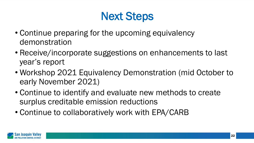#### Next Steps

- Continue preparing for the upcoming equivalency demonstration
- Receive/incorporate suggestions on enhancements to last year's report
- Workshop 2021 Equivalency Demonstration (mid October to early November 2021)
- Continue to identify and evaluate new methods to create surplus creditable emission reductions
- Continue to collaboratively work with EPA/CARB